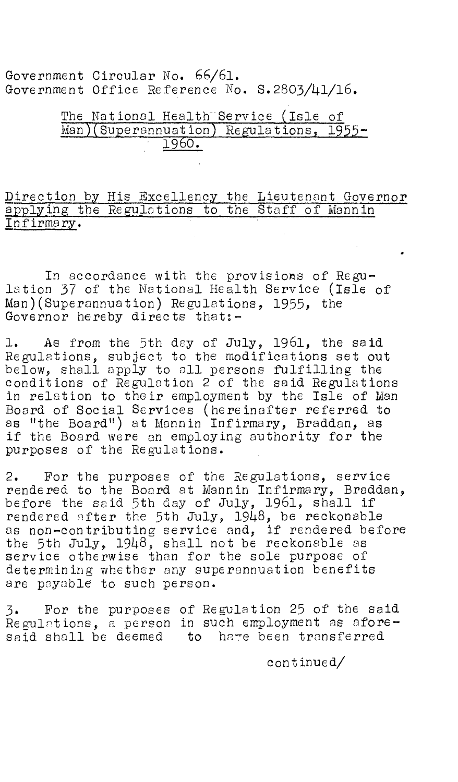Government Circular No. 66/61. Government Office Reference No. 5.2803/41/16.

## The National Health Service (Isle of Man)(Superannuation) Regulations, 1955-1960.

Direction by His Excellency the Lieutenant Governor applying the Regulations to the Staff of Mannin Infirmary.

In accordance with the provisions of Regulation 37 of the National Health Service (Isle of Man)(Superannuation) Regulations, 1955, the Governor hereby directs that:-

1. As from the 5th day of July, 1961, the said Regulations, subject to the modifications set out below, shall apply to all persons fulfilling the conditions of Regulation 2 of the said Regulations in relation to their employment by the Isle of Man Board of Social Services (hereinafter referred to as "the Board") at Monnin Infirmary, Braddan, as if the Board were an employing authority for the purposes of the Regulations.

2. For the purposes of the Regulations, service rendered to the Board at Mannin Infirmary, Braddan, before the said 5th day of July, 1961, shall if rendered after the 5th July, 1948, be reckonable as non-contributing service and, if rendered before the 5th July, 1948, shall not be reckonable as service otherwise than for the sole purpose of determining whether any superannuation benefits are payable to such person.

3. For the purposes of Regulation 25 of the said Regulations, a person in such employment as aforesaid shall be deemed to have been transferred

continued/